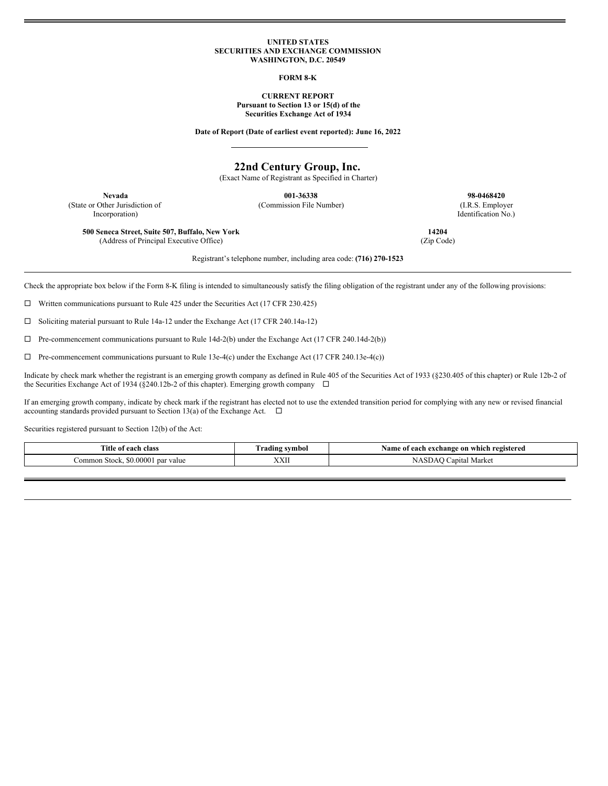#### **UNITED STATES SECURITIES AND EXCHANGE COMMISSION WASHINGTON, D.C. 20549**

**FORM 8-K**

**CURRENT REPORT Pursuant to Section 13 or 15(d) of the Securities Exchange Act of 1934**

**Date of Report (Date of earliest event reported): June 16, 2022**

# **22nd Century Group, Inc.**

(Exact Name of Registrant as Specified in Charter)

(State or Other Jurisdiction of Incorporation)

**Nevada 001-36338 98-0468420** (Commission File Number) (I.R.S. Employer

Identification No.)

**14204** (Zip Code)

**500 Seneca Street, Suite 507, Buffalo, New York** (Address of Principal Executive Office)

Registrant's telephone number, including area code: **(716) 270-1523**

Check the appropriate box below if the Form 8-K filing is intended to simultaneously satisfy the filing obligation of the registrant under any of the following provisions:

 $\Box$  Written communications pursuant to Rule 425 under the Securities Act (17 CFR 230.425)

¨ Soliciting material pursuant to Rule 14a-12 under the Exchange Act (17 CFR 240.14a-12)

 $\Box$  Pre-commencement communications pursuant to Rule 14d-2(b) under the Exchange Act (17 CFR 240.14d-2(b))

 $\Box$  Pre-commencement communications pursuant to Rule 13e-4(c) under the Exchange Act (17 CFR 240.13e-4(c))

Indicate by check mark whether the registrant is an emerging growth company as defined in Rule 405 of the Securities Act of 1933 (§230.405 of this chapter) or Rule 12b-2 of the Securities Exchange Act of 1934 (§240.12b-2 of this chapter). Emerging growth company  $\Box$ 

If an emerging growth company, indicate by check mark if the registrant has elected not to use the extended transition period for complying with any new or revised financial accounting standards provided pursuant to Section 13(a) of the Exchange Act.  $\Box$ 

Securities registered pursuant to Section 12(b) of the Act:

| ment of<br>oloc.<br>ла.        | nbol<br>…m∝        | ` registered<br>Vamo<br>which<br>exchange on<br>ഹപ<br>-<br>$\sim$ $\sim$ $\sim$ $\sim$ |
|--------------------------------|--------------------|----------------------------------------------------------------------------------------|
| 0000<br>par value<br>.omm<br>. | <b>TTTT</b><br>ллп | Marke<br>mital                                                                         |
|                                |                    |                                                                                        |